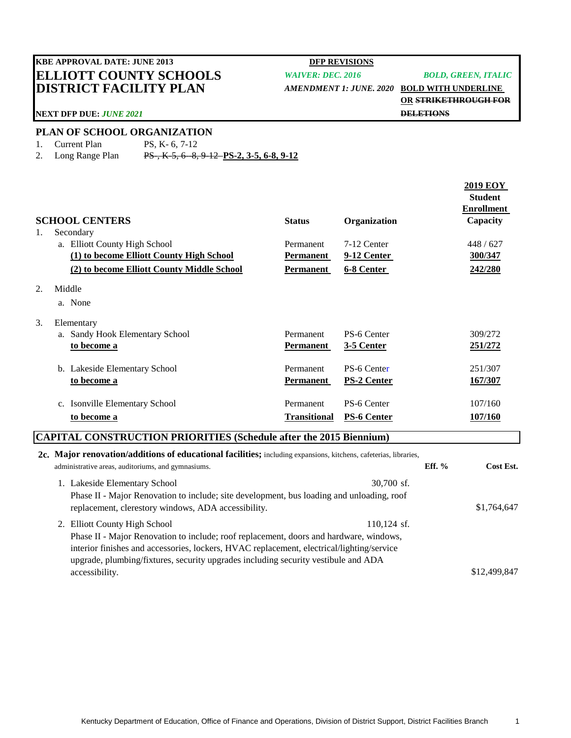# **ELLIOTT COUNTY SCHOOLS** *WAIVER: DEC. 2016 BOLD, GREEN, ITALIC* **DISTRICT FACILITY PLAN** *AMENDMENT 1: JUNE. 2020* **BOLD WITH UNDERLINE KBE APPROVAL DATE: JUNE 2013 DFP REVISIONS**

**OR STRIKETHROUGH FOR DELETIONS**

### **NEXT DFP DUE:** *JUNE 2021*

### **PLAN OF SCHOOL ORGANIZATION**

- 1. Current Plan PS, K- 6, 7-12
	-
- 2. Long Range Plan PS-, K-5, 6--8, 9-12 **PS-2, 3-5, 6-8, 9-12**

| <b>SCHOOL CENTERS</b><br>Secondary                                        |    |                                            | <b>Status</b>       | Organization       | <b>2019 EOY</b><br><b>Student</b><br><b>Enrollment</b><br>Capacity |  |  |
|---------------------------------------------------------------------------|----|--------------------------------------------|---------------------|--------------------|--------------------------------------------------------------------|--|--|
| 1.                                                                        |    | a. Elliott County High School              | Permanent           | 7-12 Center        | 448 / 627                                                          |  |  |
|                                                                           |    | (1) to become Elliott County High School   | Permanent           | 9-12 Center        | 300/347                                                            |  |  |
|                                                                           |    | (2) to become Elliott County Middle School | <b>Permanent</b>    | 6-8 Center         | 242/280                                                            |  |  |
| 2.                                                                        |    | Middle                                     |                     |                    |                                                                    |  |  |
|                                                                           |    | a. None                                    |                     |                    |                                                                    |  |  |
| 3.                                                                        |    | Elementary                                 |                     |                    |                                                                    |  |  |
|                                                                           |    | a. Sandy Hook Elementary School            | Permanent           | PS-6 Center        | 309/272                                                            |  |  |
|                                                                           |    | to become a                                | Permanent           | <b>3-5 Center</b>  | 251/272                                                            |  |  |
|                                                                           | b. | Lakeside Elementary School                 | Permanent           | PS-6 Center        | 251/307                                                            |  |  |
|                                                                           |    | to become a                                | <b>Permanent</b>    | <b>PS-2 Center</b> | 167/307                                                            |  |  |
|                                                                           | c. | <b>Isonville Elementary School</b>         | Permanent           | PS-6 Center        | 107/160                                                            |  |  |
|                                                                           |    | to become a                                | <b>Transitional</b> | <b>PS-6 Center</b> | <u>107/160</u>                                                     |  |  |
| <b>CAPITAL CONSTRUCTION PRIORITIES (Schedule after the 2015 Riennium)</b> |    |                                            |                     |                    |                                                                    |  |  |

## **CAPITAL CONSTRUCTION PRIORITIES (Schedule after the 2015 Biennium)**

|  | 2c. Major renovation/additions of educational facilities; including expansions, kitchens, cafeterias, libraries, |                                                     |          |              |  |  |
|--|------------------------------------------------------------------------------------------------------------------|-----------------------------------------------------|----------|--------------|--|--|
|  |                                                                                                                  | administrative areas, auditoriums, and gymnasiums.  | Eff. $%$ | Cost Est.    |  |  |
|  |                                                                                                                  | $30,700$ sf.<br>1. Lakeside Elementary School       |          |              |  |  |
|  | Phase II - Major Renovation to include; site development, bus loading and unloading, roof                        |                                                     |          |              |  |  |
|  |                                                                                                                  | replacement, clerestory windows, ADA accessibility. |          | \$1,764,647  |  |  |
|  |                                                                                                                  | 2. Elliott County High School<br>$110.124$ sf.      |          |              |  |  |
|  | Phase II - Major Renovation to include; roof replacement, doors and hardware, windows,                           |                                                     |          |              |  |  |
|  | interior finishes and accessories, lockers, HVAC replacement, electrical/lighting/service                        |                                                     |          |              |  |  |
|  | upgrade, plumbing/fixtures, security upgrades including security vestibule and ADA                               |                                                     |          |              |  |  |
|  |                                                                                                                  | accessibility.                                      |          | \$12,499,847 |  |  |